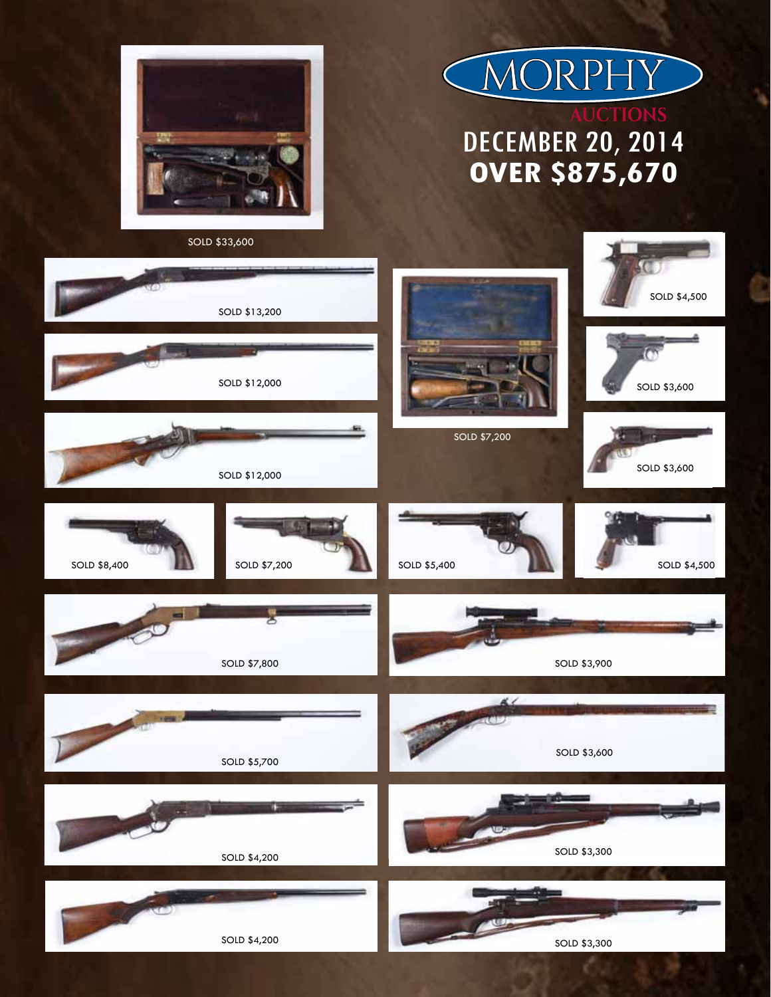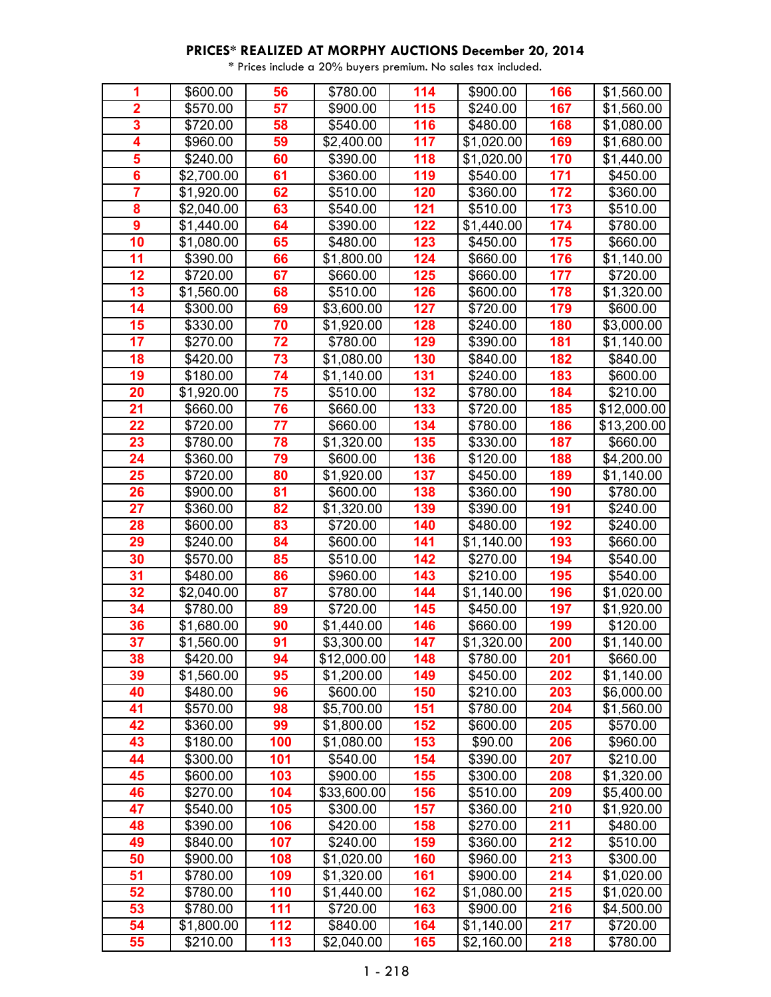| 1                       | \$600.00   | 56              | \$780.00    | 114 | \$900.00         | 166 | \$1,560.00  |
|-------------------------|------------|-----------------|-------------|-----|------------------|-----|-------------|
| $\overline{\mathbf{2}}$ | \$570.00   | 57              | \$900.00    | 115 | \$240.00         | 167 | \$1,560.00  |
| 3                       | \$720.00   | 58              | \$540.00    | 116 | \$480.00         | 168 | \$1,080.00  |
| $\overline{\mathbf{4}}$ | \$960.00   | 59              | \$2,400.00  | 117 | \$1,020.00       | 169 | \$1,680.00  |
| 5                       | \$240.00   | 60              | \$390.00    | 118 | \$1,020.00       | 170 | \$1,440.00  |
| $6\phantom{a}$          | \$2,700.00 | 61              | \$360.00    | 119 | \$540.00         | 171 | \$450.00    |
| $\overline{\mathbf{7}}$ | \$1,920.00 | 62              | \$510.00    | 120 | \$360.00         | 172 | \$360.00    |
| 8                       | \$2,040.00 | 63              | \$540.00    | 121 | \$510.00         | 173 | \$510.00    |
| $\boldsymbol{9}$        | \$1,440.00 | 64              | \$390.00    | 122 | \$1,440.00       | 174 | \$780.00    |
| 10                      | \$1,080.00 | 65              | \$480.00    | 123 | \$450.00         | 175 | \$660.00    |
| 11                      | \$390.00   | 66              | \$1,800.00  | 124 | \$660.00         | 176 | \$1,140.00  |
| 12                      | \$720.00   | 67              | \$660.00    | 125 | \$660.00         | 177 | \$720.00    |
| 13                      | \$1,560.00 | 68              | \$510.00    | 126 | \$600.00         | 178 | \$1,320.00  |
| 14                      | \$300.00   | 69              | \$3,600.00  | 127 | \$720.00         | 179 | \$600.00    |
| 15                      | \$330.00   | 70              | \$1,920.00  | 128 | \$240.00         | 180 | \$3,000.00  |
| 17                      | \$270.00   | 72              | \$780.00    | 129 | \$390.00         | 181 | \$1,140.00  |
| 18                      | \$420.00   | 73              | \$1,080.00  | 130 | \$840.00         | 182 | \$840.00    |
| 19                      | \$180.00   | 74              | \$1,140.00  | 131 | \$240.00         | 183 | \$600.00    |
| 20                      | \$1,920.00 | 75              | \$510.00    | 132 | \$780.00         | 184 | \$210.00    |
| 21                      | \$660.00   | 76              | \$660.00    | 133 | \$720.00         | 185 | \$12,000.00 |
| 22                      | \$720.00   | $\overline{77}$ | \$660.00    | 134 | \$780.00         | 186 | \$13,200.00 |
| 23                      | \$780.00   | 78              | \$1,320.00  | 135 | \$330.00         | 187 | \$660.00    |
| $\overline{24}$         | \$360.00   | 79              | \$600.00    | 136 | \$120.00         | 188 | \$4,200.00  |
| 25                      | \$720.00   | 80              | \$1,920.00  | 137 | \$450.00         | 189 | \$1,140.00  |
| 26                      | \$900.00   | 81              | \$600.00    | 138 | \$360.00         | 190 | \$780.00    |
| 27                      | \$360.00   | 82              | \$1,320.00  | 139 | $\sqrt{$}390.00$ | 191 | \$240.00    |
| 28                      | \$600.00   | 83              | \$720.00    | 140 | \$480.00         | 192 | \$240.00    |
| 29                      | \$240.00   | 84              | \$600.00    | 141 | \$1,140.00       | 193 | \$660.00    |
| 30                      | \$570.00   | 85              | \$510.00    | 142 | \$270.00         | 194 | \$540.00    |
| 31                      | \$480.00   | 86              | \$960.00    | 143 | \$210.00         | 195 | \$540.00    |
| 32                      | \$2,040.00 | 87              | \$780.00    | 144 | \$1,140.00       | 196 | \$1,020.00  |
| 34                      | \$780.00   | 89              | \$720.00    | 145 | \$450.00         | 197 | \$1,920.00  |
| 36                      | \$1,680.00 | 90              | \$1,440.00  | 146 | \$660.00         | 199 | \$120.00    |
| 37                      | \$1,560.00 | 91              | \$3,300.00  | 147 | \$1,320.00       | 200 | \$1,140.00  |
| 38                      | \$420.00   | 94              | \$12,000.00 | 148 | \$780.00         | 201 | \$660.00    |
| 39                      | \$1,560.00 | 95              | \$1,200.00  | 149 | \$450.00         | 202 | \$1,140.00  |
| 40                      | \$480.00   | 96              | \$600.00    | 150 | \$210.00         | 203 | \$6,000.00  |
| 41                      | \$570.00   | 98              | \$5,700.00  | 151 | \$780.00         | 204 | \$1,560.00  |
| 42                      | \$360.00   | 99              | \$1,800.00  | 152 | \$600.00         | 205 | \$570.00    |
| 43                      | \$180.00   | 100             | \$1,080.00  | 153 | \$90.00          | 206 | \$960.00    |
| 44                      | \$300.00   | 101             | \$540.00    | 154 | \$390.00         | 207 | \$210.00    |
| 45                      | \$600.00   | 103             | \$900.00    | 155 | \$300.00         | 208 | \$1,320.00  |
| 46                      | \$270.00   | 104             | \$33,600.00 | 156 | \$510.00         | 209 | \$5,400.00  |
| 47                      | \$540.00   | 105             | \$300.00    | 157 | \$360.00         | 210 | \$1,920.00  |
| 48                      | \$390.00   | 106             | \$420.00    | 158 | \$270.00         | 211 | \$480.00    |
| 49                      | \$840.00   | 107             | \$240.00    | 159 | \$360.00         | 212 | \$510.00    |
| 50                      | \$900.00   | 108             | \$1,020.00  | 160 | \$960.00         | 213 | \$300.00    |
| 51                      | \$780.00   | 109             | \$1,320.00  | 161 | \$900.00         | 214 | \$1,020.00  |
| 52                      | \$780.00   | 110             | \$1,440.00  | 162 | \$1,080.00       | 215 | \$1,020.00  |
| 53                      | \$780.00   | 111             | \$720.00    | 163 | \$900.00         | 216 | \$4,500.00  |
| 54                      | \$1,800.00 | 112             | \$840.00    | 164 | \$1,140.00       | 217 | \$720.00    |
| 55                      | \$210.00   | 113             | \$2,040.00  | 165 | \$2,160.00       | 218 | \$780.00    |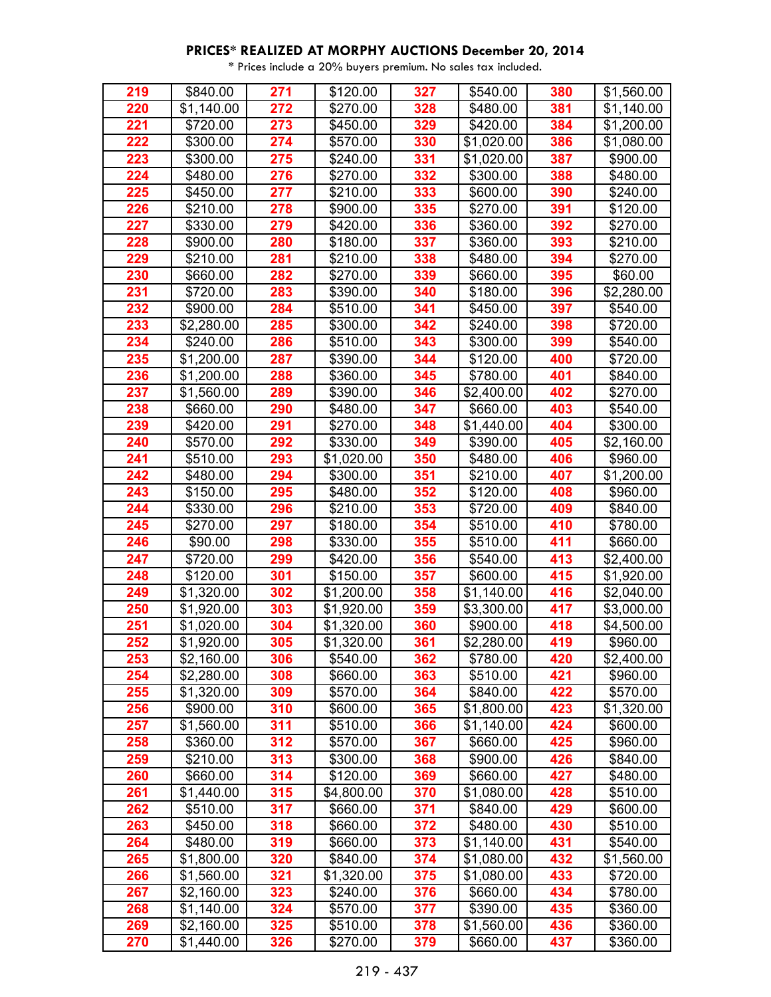| 219 | \$840.00   | 271              | \$120.00         | 327 | \$540.00   | 380 | \$1,560.00 |
|-----|------------|------------------|------------------|-----|------------|-----|------------|
| 220 | \$1,140.00 | 272              | \$270.00         | 328 | \$480.00   | 381 | \$1,140.00 |
| 221 | \$720.00   | 273              | \$450.00         | 329 | \$420.00   | 384 | \$1,200.00 |
| 222 | \$300.00   | 274              | \$570.00         | 330 | \$1,020.00 | 386 | \$1,080.00 |
| 223 | \$300.00   | $\overline{275}$ | \$240.00         | 331 | \$1,020.00 | 387 | \$900.00   |
| 224 | \$480.00   | 276              | \$270.00         | 332 | \$300.00   | 388 | \$480.00   |
| 225 | \$450.00   | 277              | \$210.00         | 333 | \$600.00   | 390 | \$240.00   |
| 226 | \$210.00   | 278              | \$900.00         | 335 | \$270.00   | 391 | \$120.00   |
| 227 | \$330.00   | 279              | \$420.00         | 336 | \$360.00   | 392 | \$270.00   |
| 228 | \$900.00   | 280              | \$180.00         | 337 | \$360.00   | 393 | \$210.00   |
| 229 | \$210.00   | 281              | $\sqrt{$210.00}$ | 338 | \$480.00   | 394 | \$270.00   |
| 230 | \$660.00   | 282              | \$270.00         | 339 | \$660.00   | 395 | \$60.00    |
| 231 | \$720.00   | 283              | \$390.00         | 340 | \$180.00   | 396 | \$2,280.00 |
| 232 | \$900.00   | 284              | \$510.00         | 341 | \$450.00   | 397 | \$540.00   |
| 233 | \$2,280.00 | 285              | \$300.00         | 342 | \$240.00   | 398 | \$720.00   |
| 234 | \$240.00   | 286              | \$510.00         | 343 | \$300.00   | 399 | \$540.00   |
| 235 | \$1,200.00 | 287              | \$390.00         | 344 | \$120.00   | 400 | \$720.00   |
| 236 | \$1,200.00 | 288              | \$360.00         | 345 | \$780.00   | 401 | \$840.00   |
| 237 | \$1,560.00 | 289              | \$390.00         | 346 | \$2,400.00 | 402 | \$270.00   |
| 238 | \$660.00   | 290              | \$480.00         | 347 | \$660.00   | 403 | \$540.00   |
| 239 | \$420.00   | 291              | \$270.00         | 348 | \$1,440.00 | 404 | \$300.00   |
| 240 | \$570.00   | 292              | \$330.00         | 349 | \$390.00   | 405 | \$2,160.00 |
| 241 | \$510.00   | 293              | \$1,020.00       | 350 | \$480.00   | 406 | \$960.00   |
| 242 | \$480.00   | 294              | \$300.00         | 351 | \$210.00   | 407 | \$1,200.00 |
| 243 | \$150.00   | 295              | \$480.00         | 352 | \$120.00   | 408 | \$960.00   |
| 244 | \$330.00   | 296              | \$210.00         | 353 | \$720.00   | 409 | \$840.00   |
| 245 | \$270.00   | 297              | \$180.00         | 354 | \$510.00   | 410 | \$780.00   |
| 246 | \$90.00    | 298              | \$330.00         | 355 | \$510.00   | 411 | \$660.00   |
| 247 | \$720.00   | 299              | \$420.00         | 356 | \$540.00   | 413 | \$2,400.00 |
| 248 | \$120.00   | 301              | \$150.00         | 357 | \$600.00   | 415 | \$1,920.00 |
| 249 | \$1,320.00 | 302              | \$1,200.00       | 358 | \$1,140.00 | 416 | \$2,040.00 |
| 250 | \$1,920.00 | 303              | \$1,920.00       | 359 | \$3,300.00 | 417 | \$3,000.00 |
| 251 | \$1,020.00 | 304              | \$1,320.00       | 360 | \$900.00   | 418 | \$4,500.00 |
| 252 | \$1,920.00 | 305              | \$1,320.00       | 361 | \$2,280.00 | 419 | \$960.00   |
| 253 | \$2,160.00 | 306              | \$540.00         | 362 | \$780.00   | 420 | \$2,400.00 |
| 254 | \$2,280.00 | 308              | \$660.00         | 363 | \$510.00   | 421 | \$960.00   |
| 255 | \$1,320.00 | 309              | \$570.00         | 364 | \$840.00   | 422 | \$570.00   |
| 256 | \$900.00   | 310              | \$600.00         | 365 | \$1,800.00 | 423 | \$1,320.00 |
| 257 | \$1,560.00 | 311              | \$510.00         | 366 | \$1,140.00 | 424 | \$600.00   |
| 258 | \$360.00   | 312              | \$570.00         | 367 | \$660.00   | 425 | \$960.00   |
| 259 | \$210.00   | 313              | \$300.00         | 368 | \$900.00   | 426 | \$840.00   |
| 260 | \$660.00   | 314              | \$120.00         | 369 | \$660.00   | 427 | \$480.00   |
| 261 | \$1,440.00 | 315              | \$4,800.00       | 370 | \$1,080.00 | 428 | \$510.00   |
| 262 | \$510.00   | 317              | \$660.00         | 371 | \$840.00   | 429 | \$600.00   |
| 263 | \$450.00   | 318              | \$660.00         | 372 | \$480.00   | 430 | \$510.00   |
| 264 | \$480.00   | 319              | \$660.00         | 373 | \$1,140.00 | 431 | \$540.00   |
| 265 | \$1,800.00 | 320              | \$840.00         | 374 | \$1,080.00 | 432 | \$1,560.00 |
| 266 | \$1,560.00 | 321              | \$1,320.00       | 375 | \$1,080.00 | 433 | \$720.00   |
| 267 | \$2,160.00 | 323              | \$240.00         | 376 | \$660.00   | 434 | \$780.00   |
| 268 | \$1,140.00 | 324              | \$570.00         | 377 | \$390.00   | 435 | \$360.00   |
| 269 | \$2,160.00 | 325              | \$510.00         | 378 | \$1,560.00 | 436 | \$360.00   |
| 270 | \$1,440.00 | 326              | \$270.00         | 379 | \$660.00   | 437 | \$360.00   |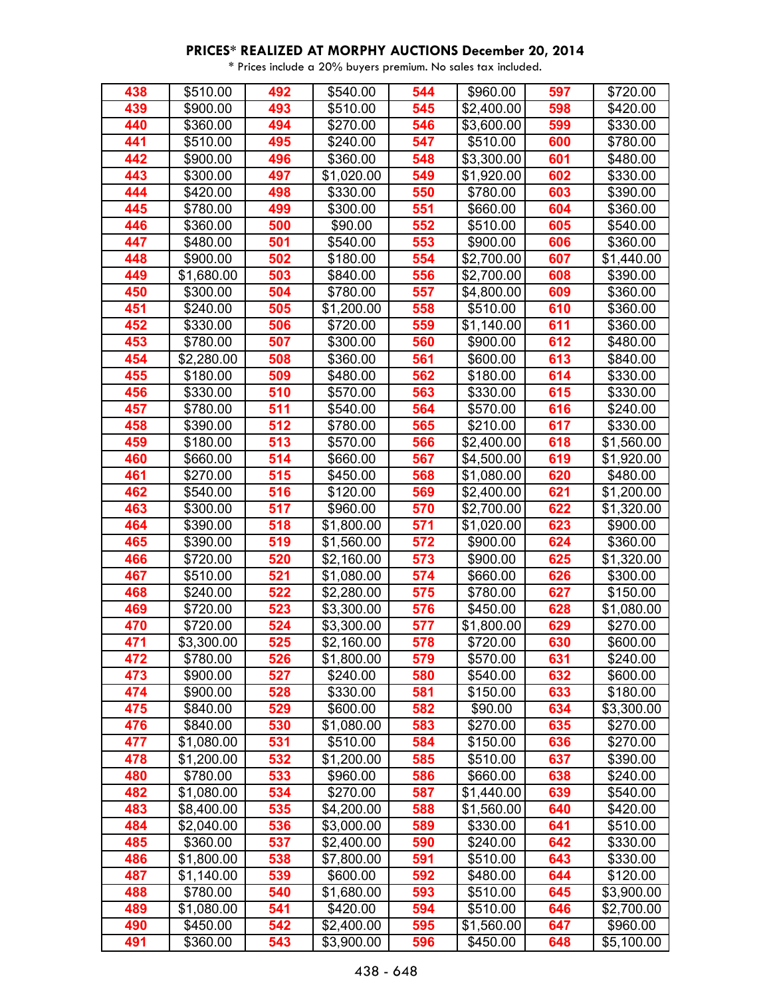| 438 | \$510.00   | 492 | \$540.00   | 544 | \$960.00               | 597 | \$720.00               |
|-----|------------|-----|------------|-----|------------------------|-----|------------------------|
| 439 | \$900.00   | 493 | \$510.00   | 545 | \$2,400.00             | 598 | \$420.00               |
| 440 | \$360.00   | 494 | \$270.00   | 546 | \$3,600.00             | 599 | \$330.00               |
| 441 | \$510.00   | 495 | \$240.00   | 547 | \$510.00               | 600 | \$780.00               |
| 442 | \$900.00   | 496 | \$360.00   | 548 | $\overline{$}3,300.00$ | 601 | \$480.00               |
| 443 | \$300.00   | 497 | \$1,020.00 | 549 | \$1,920.00             | 602 | \$330.00               |
| 444 | \$420.00   | 498 | \$330.00   | 550 | \$780.00               | 603 | \$390.00               |
| 445 | \$780.00   | 499 | \$300.00   | 551 | \$660.00               | 604 | \$360.00               |
| 446 | \$360.00   | 500 | \$90.00    | 552 | \$510.00               | 605 | \$540.00               |
| 447 | \$480.00   | 501 | \$540.00   | 553 | \$900.00               | 606 | \$360.00               |
| 448 | \$900.00   | 502 | \$180.00   | 554 | \$2,700.00             | 607 | \$1,440.00             |
| 449 | \$1,680.00 | 503 | \$840.00   | 556 | \$2,700.00             | 608 | \$390.00               |
| 450 | \$300.00   | 504 | \$780.00   | 557 | \$4,800.00             | 609 | \$360.00               |
| 451 | \$240.00   | 505 | \$1,200.00 | 558 | \$510.00               | 610 | \$360.00               |
| 452 | \$330.00   | 506 | \$720.00   | 559 | \$1,140.00             | 611 | \$360.00               |
| 453 | \$780.00   | 507 | \$300.00   | 560 | \$900.00               | 612 | \$480.00               |
| 454 | \$2,280.00 | 508 | \$360.00   | 561 | \$600.00               | 613 | \$840.00               |
| 455 | \$180.00   | 509 | \$480.00   | 562 | \$180.00               | 614 | \$330.00               |
| 456 | \$330.00   | 510 | \$570.00   | 563 | \$330.00               | 615 | \$330.00               |
| 457 | \$780.00   | 511 | \$540.00   | 564 | \$570.00               | 616 | \$240.00               |
| 458 | \$390.00   | 512 | \$780.00   | 565 | \$210.00               | 617 | \$330.00               |
| 459 | \$180.00   | 513 | \$570.00   | 566 | \$2,400.00             | 618 | \$1,560.00             |
| 460 | \$660.00   | 514 | \$660.00   | 567 | \$4,500.00             | 619 | \$1,920.00             |
| 461 | \$270.00   | 515 | \$450.00   | 568 | \$1,080.00             | 620 | \$480.00               |
| 462 | \$540.00   | 516 | \$120.00   | 569 | \$2,400.00             | 621 | \$1,200.00             |
| 463 | \$300.00   | 517 | \$960.00   | 570 | \$2,700.00             | 622 | \$1,320.00             |
| 464 | \$390.00   | 518 | \$1,800.00 | 571 | \$1,020.00             | 623 | \$900.00               |
| 465 | \$390.00   | 519 | \$1,560.00 | 572 | \$900.00               | 624 | \$360.00               |
| 466 | \$720.00   | 520 | \$2,160.00 | 573 | \$900.00               | 625 | \$1,320.00             |
| 467 | \$510.00   | 521 | \$1,080.00 | 574 | \$660.00               | 626 | \$300.00               |
| 468 | \$240.00   | 522 | \$2,280.00 | 575 | \$780.00               | 627 | \$150.00               |
| 469 | \$720.00   | 523 | \$3,300.00 | 576 | \$450.00               | 628 | \$1,080.00             |
| 470 | \$720.00   | 524 | \$3,300.00 | 577 | \$1,800.00             | 629 | \$270.00               |
| 471 | \$3,300.00 | 525 | \$2,160.00 | 578 | \$720.00               | 630 | \$600.00               |
| 472 | \$780.00   | 526 | \$1,800.00 | 579 | \$570.00               | 631 | \$240.00               |
| 473 | \$900.00   | 527 | \$240.00   | 580 | \$540.00               | 632 | \$600.00               |
| 474 | \$900.00   | 528 | \$330.00   | 581 | \$150.00               | 633 | \$180.00               |
| 475 | \$840.00   | 529 | \$600.00   | 582 | \$90.00                | 634 | \$3,300.00             |
| 476 | \$840.00   | 530 | \$1,080.00 | 583 | \$270.00               | 635 | \$270.00               |
| 477 | \$1,080.00 | 531 | \$510.00   | 584 | \$150.00               | 636 | \$270.00               |
| 478 | \$1,200.00 | 532 | \$1,200.00 | 585 | \$510.00               | 637 | \$390.00               |
| 480 | \$780.00   | 533 | \$960.00   | 586 | \$660.00               | 638 | \$240.00               |
| 482 | \$1,080.00 | 534 | \$270.00   | 587 | \$1,440.00             | 639 | \$540.00               |
| 483 | \$8,400.00 | 535 | \$4,200.00 | 588 | \$1,560.00             | 640 | \$420.00               |
| 484 | \$2,040.00 | 536 | \$3,000.00 | 589 | \$330.00               | 641 | \$510.00               |
| 485 | \$360.00   | 537 | \$2,400.00 | 590 | \$240.00               | 642 | \$330.00               |
| 486 | \$1,800.00 | 538 | \$7,800.00 | 591 | \$510.00               | 643 | \$330.00               |
| 487 | \$1,140.00 | 539 | \$600.00   | 592 | \$480.00               | 644 | \$120.00               |
| 488 | \$780.00   | 540 | \$1,680.00 | 593 | \$510.00               | 645 | \$3,900.00             |
| 489 | \$1,080.00 | 541 | \$420.00   | 594 | \$510.00               | 646 | \$2,700.00             |
| 490 | \$450.00   | 542 | \$2,400.00 | 595 | \$1,560.00             | 647 | \$960.00               |
| 491 | \$360.00   | 543 | \$3,900.00 | 596 | \$450.00               | 648 | $\overline{$}5,100.00$ |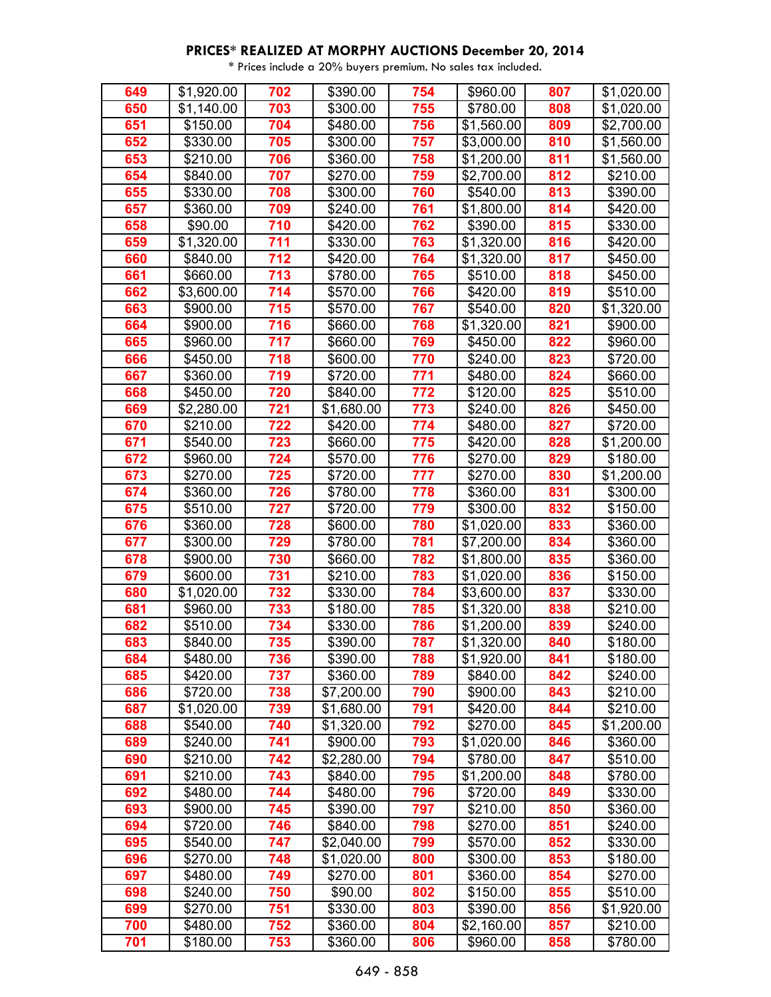| 649 | \$1,920.00 | 702 | \$390.00   | 754 | \$960.00   | 807 | \$1,020.00             |
|-----|------------|-----|------------|-----|------------|-----|------------------------|
| 650 | \$1,140.00 | 703 | \$300.00   | 755 | \$780.00   | 808 | \$1,020.00             |
| 651 | \$150.00   | 704 | \$480.00   | 756 | \$1,560.00 | 809 | \$2,700.00             |
| 652 | \$330.00   | 705 | \$300.00   | 757 | \$3,000.00 | 810 | \$1,560.00             |
| 653 | \$210.00   | 706 | \$360.00   | 758 | \$1,200.00 | 811 | \$1,560.00             |
| 654 | \$840.00   | 707 | \$270.00   | 759 | \$2,700.00 | 812 | \$210.00               |
| 655 | \$330.00   | 708 | \$300.00   | 760 | \$540.00   | 813 | \$390.00               |
| 657 | \$360.00   | 709 | \$240.00   | 761 | \$1,800.00 | 814 | \$420.00               |
| 658 | \$90.00    | 710 | \$420.00   | 762 | \$390.00   | 815 | \$330.00               |
| 659 | \$1,320.00 | 711 | \$330.00   | 763 | \$1,320.00 | 816 | \$420.00               |
| 660 | \$840.00   | 712 | \$420.00   | 764 | \$1,320.00 | 817 | \$450.00               |
| 661 | \$660.00   | 713 | \$780.00   | 765 | \$510.00   | 818 | \$450.00               |
| 662 | \$3,600.00 | 714 | \$570.00   | 766 | \$420.00   | 819 | \$510.00               |
| 663 | \$900.00   | 715 | \$570.00   | 767 | \$540.00   | 820 | $\overline{$}1,320.00$ |
| 664 | \$900.00   | 716 | \$660.00   | 768 | \$1,320.00 | 821 | \$900.00               |
| 665 | \$960.00   | 717 | \$660.00   | 769 | \$450.00   | 822 | \$960.00               |
| 666 | \$450.00   | 718 | \$600.00   | 770 | \$240.00   | 823 | \$720.00               |
| 667 | \$360.00   | 719 | \$720.00   | 771 | \$480.00   | 824 | \$660.00               |
| 668 | \$450.00   | 720 | \$840.00   | 772 | \$120.00   | 825 | \$510.00               |
| 669 | \$2,280.00 | 721 | \$1,680.00 | 773 | \$240.00   | 826 | \$450.00               |
| 670 | \$210.00   | 722 | \$420.00   | 774 | \$480.00   | 827 | \$720.00               |
| 671 | \$540.00   | 723 | \$660.00   | 775 | \$420.00   | 828 | \$1,200.00             |
| 672 | \$960.00   | 724 | \$570.00   | 776 | \$270.00   | 829 | \$180.00               |
| 673 | \$270.00   | 725 | \$720.00   | 777 | \$270.00   | 830 | \$1,200.00             |
| 674 | \$360.00   | 726 | \$780.00   | 778 | \$360.00   | 831 | \$300.00               |
| 675 | \$510.00   | 727 | \$720.00   | 779 | \$300.00   | 832 | \$150.00               |
| 676 | \$360.00   | 728 | \$600.00   | 780 | \$1,020.00 | 833 | \$360.00               |
| 677 | \$300.00   | 729 | \$780.00   | 781 | \$7,200.00 | 834 | \$360.00               |
| 678 | \$900.00   | 730 | \$660.00   | 782 | \$1,800.00 | 835 | \$360.00               |
| 679 | \$600.00   | 731 | \$210.00   | 783 | \$1,020.00 | 836 | \$150.00               |
| 680 | \$1,020.00 | 732 | \$330.00   | 784 | \$3,600.00 | 837 | \$330.00               |
| 681 | \$960.00   | 733 | \$180.00   | 785 | \$1,320.00 | 838 | \$210.00               |
| 682 | \$510.00   | 734 | \$330.00   | 786 | \$1,200.00 | 839 | \$240.00               |
| 683 | \$840.00   | 735 | \$390.00   | 787 | \$1,320.00 | 840 | \$180.00               |
| 684 | \$480.00   | 736 | \$390.00   | 788 | \$1,920.00 | 841 | \$180.00               |
| 685 | \$420.00   | 737 | \$360.00   | 789 | \$840.00   | 842 | \$240.00               |
| 686 | \$720.00   | 738 | \$7,200.00 | 790 | \$900.00   | 843 | \$210.00               |
| 687 | \$1,020.00 | 739 | \$1,680.00 | 791 | \$420.00   | 844 | \$210.00               |
| 688 | \$540.00   | 740 | \$1,320.00 | 792 | \$270.00   | 845 | \$1,200.00             |
| 689 | \$240.00   | 741 | \$900.00   | 793 | \$1,020.00 | 846 | \$360.00               |
| 690 | \$210.00   | 742 | \$2,280.00 | 794 | \$780.00   | 847 | \$510.00               |
| 691 | \$210.00   | 743 | \$840.00   | 795 | \$1,200.00 | 848 | \$780.00               |
| 692 | \$480.00   | 744 | \$480.00   | 796 | \$720.00   | 849 | \$330.00               |
| 693 | \$900.00   | 745 | \$390.00   | 797 | \$210.00   | 850 | \$360.00               |
| 694 | \$720.00   | 746 | \$840.00   | 798 | \$270.00   | 851 | \$240.00               |
| 695 | \$540.00   | 747 | \$2,040.00 | 799 | \$570.00   | 852 | \$330.00               |
| 696 | \$270.00   | 748 | \$1,020.00 | 800 | \$300.00   | 853 | \$180.00               |
| 697 | \$480.00   | 749 | \$270.00   | 801 | \$360.00   | 854 | \$270.00               |
| 698 | \$240.00   | 750 | \$90.00    | 802 | \$150.00   | 855 | \$510.00               |
| 699 | \$270.00   | 751 | \$330.00   | 803 | \$390.00   | 856 | \$1,920.00             |
| 700 | \$480.00   | 752 | \$360.00   | 804 | \$2,160.00 | 857 | \$210.00               |
| 701 | \$180.00   | 753 | \$360.00   | 806 | \$960.00   | 858 | \$780.00               |